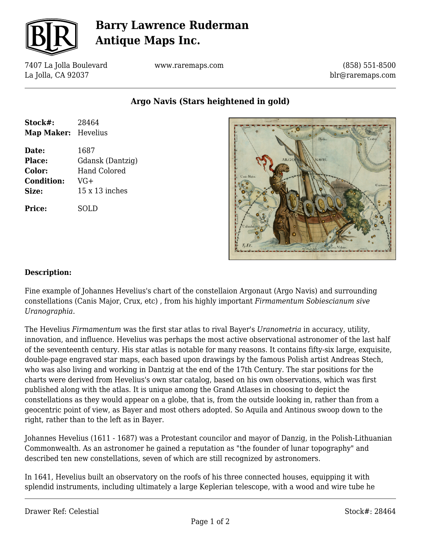

# **Barry Lawrence Ruderman Antique Maps Inc.**

7407 La Jolla Boulevard La Jolla, CA 92037

www.raremaps.com

(858) 551-8500 blr@raremaps.com

**Argo Navis (Stars heightened in gold)**

| Stock#:<br>Map Maker: Hevelius | 28464                 |
|--------------------------------|-----------------------|
| Date:                          | 1687                  |
| Place:                         | Gdansk (Dantzig)      |
| Color:                         | Hand Colored          |
| <b>Condition:</b>              | $VG+$                 |
| Size:                          | $15 \times 13$ inches |
| Price:                         | SOLD                  |



### **Description:**

Fine example of Johannes Hevelius's chart of the constellaion Argonaut (Argo Navis) and surrounding constellations (Canis Major, Crux, etc) , from his highly important *Firmamentum Sobiescianum sive Uranographia*.

The Hevelius *Firmamentum* was the first star atlas to rival Bayer's *Uranometria* in accuracy, utility, innovation, and influence. Hevelius was perhaps the most active observational astronomer of the last half of the seventeenth century. His star atlas is notable for many reasons. It contains fifty-six large, exquisite, double-page engraved star maps, each based upon drawings by the famous Polish artist Andreas Stech, who was also living and working in Dantzig at the end of the 17th Century. The star positions for the charts were derived from Hevelius's own star catalog, based on his own observations, which was first published along with the atlas. It is unique among the Grand Atlases in choosing to depict the constellations as they would appear on a globe, that is, from the outside looking in, rather than from a geocentric point of view, as Bayer and most others adopted. So Aquila and Antinous swoop down to the right, rather than to the left as in Bayer.

Johannes Hevelius (1611 - 1687) was a Protestant councilor and mayor of Danzig, in the Polish-Lithuanian Commonwealth. As an astronomer he gained a reputation as "the founder of lunar topography" and described ten new constellations, seven of which are still recognized by astronomers.

In 1641, Hevelius built an observatory on the roofs of his three connected houses, equipping it with splendid instruments, including ultimately a large Keplerian telescope, with a wood and wire tube he